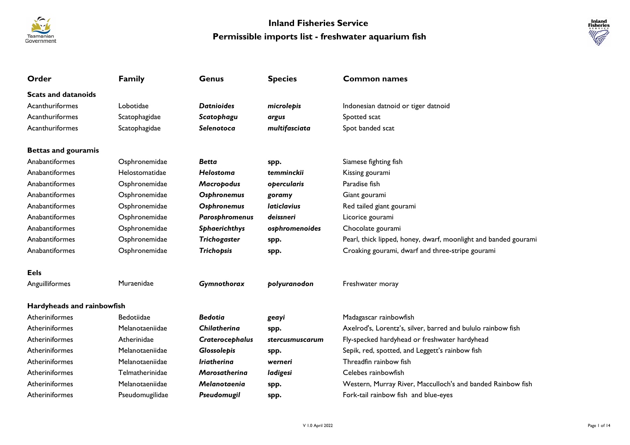



| Order                      | <b>Family</b>     | <b>Genus</b>         | <b>Species</b>                   | <b>Common names</b>                                             |
|----------------------------|-------------------|----------------------|----------------------------------|-----------------------------------------------------------------|
| <b>Scats and datanoids</b> |                   |                      |                                  |                                                                 |
| Acanthuriformes            | Lobotidae         | <b>Datnioides</b>    | microlepis                       | Indonesian datnoid or tiger datnoid                             |
| Acanthuriformes            | Scatophagidae     | Scatophagu           | argus                            | Spotted scat                                                    |
| Acanthuriformes            | Scatophagidae     | Selenotoca           | multifasciata                    | Spot banded scat                                                |
| <b>Bettas and gouramis</b> |                   |                      |                                  |                                                                 |
| Anabantiformes             | Osphronemidae     | <b>Betta</b>         | spp.                             | Siamese fighting fish                                           |
| Anabantiformes             | Helostomatidae    | <b>Helostoma</b>     | temminckii                       | Kissing gourami                                                 |
| Anabantiformes             | Osphronemidae     | Macropodus           | opercularis                      | Paradise fish                                                   |
| Anabantiformes             | Osphronemidae     | Osphronemus          | goramy                           | Giant gourami                                                   |
| Anabantiformes             | Osphronemidae     | Osphronemus          | <i><u><b>Iaticlavius</b></u></i> | Red tailed giant gourami                                        |
| Anabantiformes             | Osphronemidae     | Parosphromenus       | deissneri                        | Licorice gourami                                                |
| Anabantiformes             | Osphronemidae     | Sphaerichthys        | osphromenoides                   | Chocolate gourami                                               |
| Anabantiformes             | Osphronemidae     | Trichogaster         | spp.                             | Pearl, thick lipped, honey, dwarf, moonlight and banded gourami |
| Anabantiformes             | Osphronemidae     | Trichopsis           | spp.                             | Croaking gourami, dwarf and three-stripe gourami                |
| <b>Eels</b>                |                   |                      |                                  |                                                                 |
| Anguilliformes             | Muraenidae        | Gymnothorax          | polyuranodon                     | Freshwater moray                                                |
| Hardyheads and rainbowfish |                   |                      |                                  |                                                                 |
| Atheriniformes             | <b>Bedotiidae</b> | <b>Bedotia</b>       | geayi                            | Madagascar rainbowfish                                          |
| Atheriniformes             | Melanotaeniidae   | <b>Chilatherina</b>  | spp.                             | Axelrod's, Lorentz's, silver, barred and bululo rainbow fish    |
| Atheriniformes             | Atherinidae       | Craterocephalus      | stercusmuscarum                  | Fly-specked hardyhead or freshwater hardyhead                   |
| Atheriniformes             | Melanotaeniidae   | Glossolepis          | spp.                             | Sepik, red, spotted, and Leggett's rainbow fish                 |
| Atheriniformes             | Melanotaeniidae   | <b>Iriatherina</b>   | werneri                          | Threadfin rainbow fish                                          |
| Atheriniformes             | Telmatherinidae   | <b>Marosatherina</b> | ladigesi                         | Celebes rainbowfish                                             |
| Atheriniformes             | Melanotaeniidae   | Melanotaenia         | spp.                             | Western, Murray River, Macculloch's and banded Rainbow fish     |
| Atheriniformes             | Pseudomugilidae   | Pseudomugil          | spp.                             | Fork-tail rainbow fish and blue-eyes                            |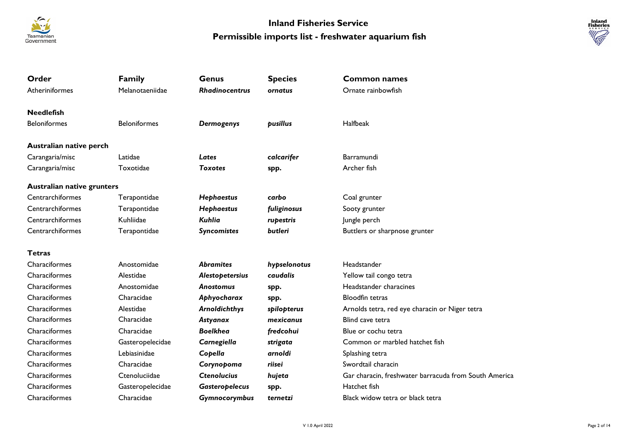



| Order                             | <b>Family</b>       | Genus                 | <b>Species</b> | <b>Common names</b>                                   |
|-----------------------------------|---------------------|-----------------------|----------------|-------------------------------------------------------|
| Atheriniformes                    | Melanotaeniidae     | <b>Rhadinocentrus</b> | ornatus        | Ornate rainbowfish                                    |
| <b>Needlefish</b>                 |                     |                       |                |                                                       |
| <b>Beloniformes</b>               | <b>Beloniformes</b> | Dermogenys            | pusillus       | Halfbeak                                              |
| Australian native perch           |                     |                       |                |                                                       |
| Carangaria/misc                   | Latidae             | Lates                 | calcarifer     | Barramundi                                            |
| Carangaria/misc                   | Toxotidae           | <b>Toxotes</b>        | spp.           | Archer fish                                           |
| <b>Australian native grunters</b> |                     |                       |                |                                                       |
| Centrarchiformes                  | Terapontidae        | <b>Hephaestus</b>     | carbo          | Coal grunter                                          |
| Centrarchiformes                  | Terapontidae        | Hephaestus            | fuliginosus    | Sooty grunter                                         |
| Centrarchiformes                  | Kuhliidae           | Kuhlia                | rupestris      | Jungle perch                                          |
| Centrarchiformes                  | Terapontidae        | <b>Syncomistes</b>    | butleri        | Buttlers or sharpnose grunter                         |
| <b>Tetras</b>                     |                     |                       |                |                                                       |
| Characiformes                     | Anostomidae         | <b>Abramites</b>      | hypselonotus   | Headstander                                           |
| Characiformes                     | Alestidae           | Alestopetersius       | caudalis       | Yellow tail congo tetra                               |
| Characiformes                     | Anostomidae         | <b>Anostomus</b>      | spp.           | Headstander characines                                |
| Characiformes                     | Characidae          | Aphyocharax           | spp.           | <b>Bloodfin tetras</b>                                |
| Characiformes                     | Alestidae           | <b>Arnoldichthys</b>  | spilopterus    | Arnolds tetra, red eye characin or Niger tetra        |
| Characiformes                     | Characidae          | Astyanax              | mexicanus      | Blind cave tetra                                      |
| Characiformes                     | Characidae          | <b>Boelkhea</b>       | fredcohui      | Blue or cochu tetra                                   |
| Characiformes                     | Gasteropelecidae    | Carnegiella           | strigata       | Common or marbled hatchet fish                        |
| Characiformes                     | Lebiasinidae        | Copella               | arnoldi        | Splashing tetra                                       |
| Characiformes                     | Characidae          | Corynopoma            | riisei         | Swordtail characin                                    |
| Characiformes                     | Ctenoluciidae       | <b>Ctenolucius</b>    | hujeta         | Gar characin, freshwater barracuda from South America |
| Characiformes                     | Gasteropelecidae    | <b>Gasteropelecus</b> | spp.           | Hatchet fish                                          |
| Characiformes                     | Characidae          | Gymnocorymbus         | ternetzi       | Black widow tetra or black tetra                      |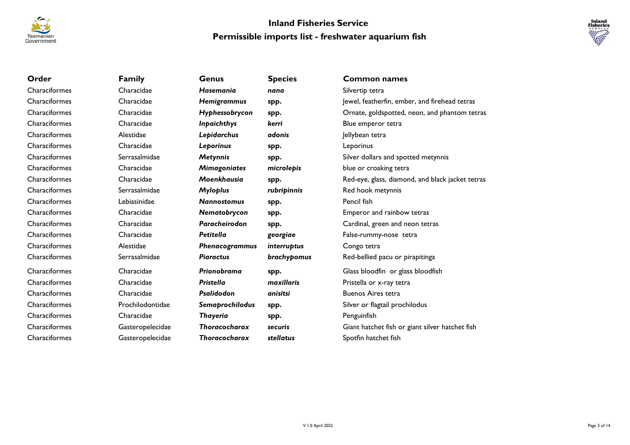



| Order         | <b>Family</b>    | Genus                | <b>Species</b>     | <b>Common names</b>                              |
|---------------|------------------|----------------------|--------------------|--------------------------------------------------|
| Characiformes | Characidae       | <b>Hasemania</b>     | nana               | Silvertip tetra                                  |
| Characiformes | Characidae       | Hemigrammus          | spp.               | Jewel, featherfin, ember, and firehead tetras    |
| Characiformes | Characidae       | Hyphessobrycon       | spp.               | Ornate, goldspotted, neon, and phantom tetras    |
| Characiformes | Characidae       | <b>Inpaichthys</b>   | kerri              | Blue emperor tetra                               |
| Characiformes | Alestidae        | Lepidarchus          | adonis             | Jellybean tetra                                  |
| Characiformes | Characidae       | Leporinus            | spp.               | Leporinus                                        |
| Characiformes | Serrasalmidae    | <b>Metynnis</b>      | spp.               | Silver dollars and spotted metynnis              |
| Characiformes | Characidae       | <b>Mimagoniates</b>  | microlepis         | blue or croaking tetra                           |
| Characiformes | Characidae       | Moenkhausia          | spp.               | Red-eye, glass, diamond, and black jacket tetras |
| Characiformes | Serrasalmidae    | <b>Myloplus</b>      | rubripinnis        | Red hook metynnis                                |
| Characiformes | Lebiasinidae     | <b>Nannostomus</b>   | spp.               | Pencil fish                                      |
| Characiformes | Characidae       | Nematobrycon         | spp.               | Emperor and rainbow tetras                       |
| Characiformes | Characidae       | Paracheirodon        | spp.               | Cardinal, green and neon tetras                  |
| Characiformes | Characidae       | <b>Petitella</b>     | georgiae           | False-rummy-nose tetra                           |
| Characiformes | Alestidae        | Phenacogrammus       | <i>interruptus</i> | Congo tetra                                      |
| Characiformes | Serrasalmidae    | <b>Piaractus</b>     | brachypomus        | Red-bellied pacu or pirapitinga                  |
| Characiformes | Characidae       | Prionobrama          | spp.               | Glass bloodfin or glass bloodfish                |
| Characiformes | Characidae       | <b>Pristella</b>     | maxillaris         | Pristella or x-ray tetra                         |
| Characiformes | Characidae       | Psalidodon           | anisitsi           | <b>Buenos Aires tetra</b>                        |
| Characiformes | Prochilodontidae | Semaprochilodus      | spp.               | Silver or flagtail prochilodus                   |
| Characiformes | Characidae       | <b>Thayeria</b>      | spp.               | Penguinfish                                      |
| Characiformes | Gasteropelecidae | <b>Thoracocharax</b> | securis            | Giant hatchet fish or giant silver hatchet fish  |
| Characiformes | Gasteropelecidae | <b>Thoracocharax</b> | stellatus          | Spotfin hatchet fish                             |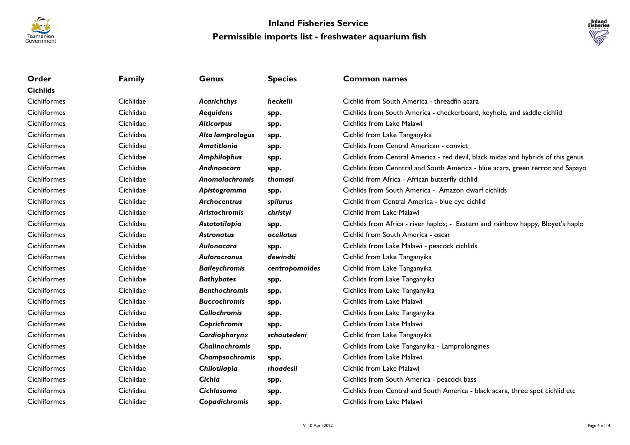



| Order               | <b>Family</b> | <b>Genus</b>          | <b>Species</b> | <b>Common names</b>                                                              |
|---------------------|---------------|-----------------------|----------------|----------------------------------------------------------------------------------|
| <b>Cichlids</b>     |               |                       |                |                                                                                  |
| <b>Cichliformes</b> | Cichlidae     | Acarichthys           | heckelii       | Cichlid from South America - threadfin acara                                     |
| Cichliformes        | Cichlidae     | Aequidens             | spp.           | Cichlids from South America - checkerboard, keyhole, and saddle cichlid          |
| Cichliformes        | Cichlidae     | <b>Alticorpus</b>     | spp.           | Cichlids from Lake Malawi                                                        |
| <b>Cichliformes</b> | Cichlidae     | Alto lamprologus      | spp.           | Cichlid from Lake Tanganyika                                                     |
| Cichliformes        | Cichlidae     | Amatitlania           | spp.           | Cichlids from Central American - convict                                         |
| <b>Cichliformes</b> | Cichlidae     | Amphilophus           | spp.           | Cichlids from Central America - red devil, black midas and hybrids of this genus |
| <b>Cichliformes</b> | Cichlidae     | Andinoacara           | spp.           | Cichlids from Cenntral and South America - blue acara, green terror and Sapayo   |
| <b>Cichliformes</b> | Cichlidae     | Anomalachromis        | thomasi        | Cichlid from Africa - African butterfly cichlid                                  |
| Cichliformes        | Cichlidae     | Apistogramma          | spp.           | Cichlids from South America - Amazon dwarf cichlids                              |
| <b>Cichliformes</b> | Cichlidae     | <b>Archocentrus</b>   | spilurus       | Cichlid from Central America - blue eye cichlid                                  |
| Cichliformes        | Cichlidae     | <b>Aristochromis</b>  | christyi       | Cichlid from Lake Malawi                                                         |
| <b>Cichliformes</b> | Cichlidae     | Astatotilapia         | spp.           | Cichlids from Africa - river haplos; - Eastern and rainbow happy, Bloyet's haplo |
| <b>Cichliformes</b> | Cichlidae     | <b>Astronatus</b>     | ocellatus      | Cichlid from South America - oscar                                               |
| <b>Cichliformes</b> | Cichlidae     | Aulonocara            | spp.           | Cichlids from Lake Malawi - peacock cichlids                                     |
| Cichliformes        | Cichlidae     | Aulorocranus          | dewindti       | Cichlid from Lake Tanganyika                                                     |
| <b>Cichliformes</b> | Cichlidae     | <b>Baileychromis</b>  | centropomoides | Cichlid from Lake Tanganyika                                                     |
| Cichliformes        | Cichlidae     | <b>Bathybates</b>     | spp.           | Cichlids from Lake Tanganyika                                                    |
| <b>Cichliformes</b> | Cichlidae     | <b>Benthochromis</b>  | spp.           | Cichlids from Lake Tanganyika                                                    |
| Cichliformes        | Cichlidae     | <b>Buccochromis</b>   | spp.           | Cichlids from Lake Malawi                                                        |
| <b>Cichliformes</b> | Cichlidae     | <b>Callochromis</b>   | spp.           | Cichlids from Lake Tanganyika                                                    |
| Cichliformes        | Cichlidae     | Caprichromis          | spp.           | Cichlids from Lake Malawi                                                        |
| Cichliformes        | Cichlidae     | Cardiopharynx         | schoutedeni    | Cichlid from Lake Tanganyika                                                     |
| <b>Cichliformes</b> | Cichlidae     | <b>Chalinochromis</b> | spp.           | Cichlids from Lake Tanganyika - Lamprolongines                                   |
| <b>Cichliformes</b> | Cichlidae     | Champsochromis        | spp.           | Cichlids from Lake Malawi                                                        |
| Cichliformes        | Cichlidae     | Chilotilapia          | rhoadesii      | Cichlid from Lake Malawi                                                         |
| <b>Cichliformes</b> | Cichlidae     | Cichla                | spp.           | Cichlids from South America - peacock bass                                       |
| <b>Cichliformes</b> | Cichlidae     | <b>Cichlasoma</b>     | spp.           | Cichlids from Central and South America - black acara, three spot cichlid etc    |
| <b>Cichliformes</b> | Cichlidae     | Copadichromis         | spp.           | Cichlids from Lake Malawi                                                        |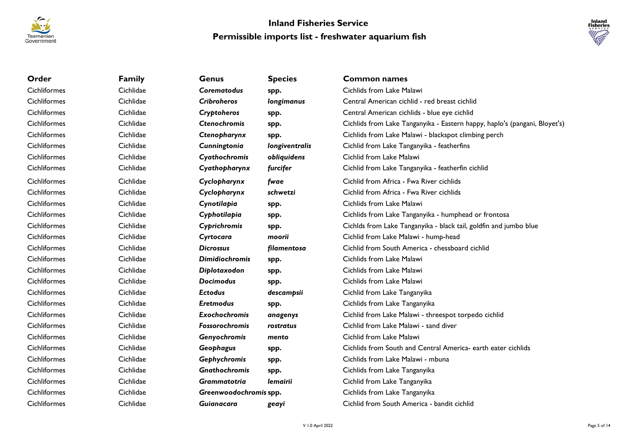



| Order               | <b>Family</b> | <b>Genus</b>           | <b>Species</b> | Common names                                                               |
|---------------------|---------------|------------------------|----------------|----------------------------------------------------------------------------|
| Cichliformes        | Cichlidae     | <b>Corematodus</b>     | spp.           | Cichlids from Lake Malawi                                                  |
| Cichliformes        | Cichlidae     | <b>Cribroheros</b>     | longimanus     | Central American cichlid - red breast cichlid                              |
| Cichliformes        | Cichlidae     | Cryptoheros            | spp.           | Central American cichlids - blue eye cichlid                               |
| Cichliformes        | Cichlidae     | <b>Ctenochromis</b>    | spp.           | Cichlids from Lake Tanganyika - Eastern happy, haplo's (pangani, Bloyet's) |
| <b>Cichliformes</b> | Cichlidae     | Ctenopharynx           | spp.           | Cichlids from Lake Malawi - blackspot climbing perch                       |
| Cichliformes        | Cichlidae     | Cunningtonia           | longiventralis | Cichlid from Lake Tanganyika - featherfins                                 |
| Cichliformes        | Cichlidae     | Cyathochromis          | obliquidens    | Cichlid from Lake Malawi                                                   |
| Cichliformes        | Cichlidae     | Cyathopharynx          | furcifer       | Cichlid from Lake Tanganyika - featherfin cichlid                          |
| Cichliformes        | Cichlidae     | Cyclopharynx           | fwae           | Cichlid from Africa - Fwa River cichlids                                   |
| Cichliformes        | Cichlidae     | Cyclopharynx           | schwetzi       | Cichlid from Africa - Fwa River cichlids                                   |
| Cichliformes        | Cichlidae     | Cynotilapia            | spp.           | Cichlids from Lake Malawi                                                  |
| Cichliformes        | Cichlidae     | Cyphotilapia           | spp.           | Cichlids from Lake Tanganyika - humphead or frontosa                       |
| Cichliformes        | Cichlidae     | Cyprichromis           | spp.           | Cichlds from Lake Tanganyika - black tail, goldfin and jumbo blue          |
| Cichliformes        | Cichlidae     | Cyrtocara              | moorii         | Cichlid from Lake Malawi - hump-head                                       |
| Cichliformes        | Cichlidae     | <b>Dicrossus</b>       | filamentosa    | Cichlid from South America - chessboard cichlid                            |
| Cichliformes        | Cichlidae     | <b>Dimidiochromis</b>  | spp.           | Cichlids from Lake Malawi                                                  |
| Cichliformes        | Cichlidae     | Diplotaxodon           | spp.           | Cichlids from Lake Malawi                                                  |
| Cichliformes        | Cichlidae     | <b>Docimodus</b>       | spp.           | Cichlids from Lake Malawi                                                  |
| Cichliformes        | Cichlidae     | <b>Ectodus</b>         | descampsii     | Cichlid from Lake Tanganyika                                               |
| Cichliformes        | Cichlidae     | <b>Eretmodus</b>       | spp.           | Cichlids from Lake Tanganyika                                              |
| Cichliformes        | Cichlidae     | Exochochromis          | anagenys       | Cichlid from Lake Malawi - threespot torpedo cichlid                       |
| Cichliformes        | Cichlidae     | Fossorochromis         | rostratus      | Cichlid from Lake Malawi - sand diver                                      |
| Cichliformes        | Cichlidae     | Genyochromis           | mento          | Cichlid from Lake Malawi                                                   |
| Cichliformes        | Cichlidae     | Geophagus              | spp.           | Cichlids from South and Central America- earth eater cichlids              |
| Cichliformes        | Cichlidae     | Gephychromis           | spp.           | Cichlids from Lake Malawi - mbuna                                          |
| Cichliformes        | Cichlidae     | <b>Gnathochromis</b>   | spp.           | Cichlids from Lake Tanganyika                                              |
| Cichliformes        | Cichlidae     | <b>Grammatotria</b>    | lemairii       | Cichlid from Lake Tanganyika                                               |
| Cichliformes        | Cichlidae     | Greenwoodochromis spp. |                | Cichlids from Lake Tanganyika                                              |
| Cichliformes        | Cichlidae     | Guianacara             | geayi          | Cichlid from South America - bandit cichlid                                |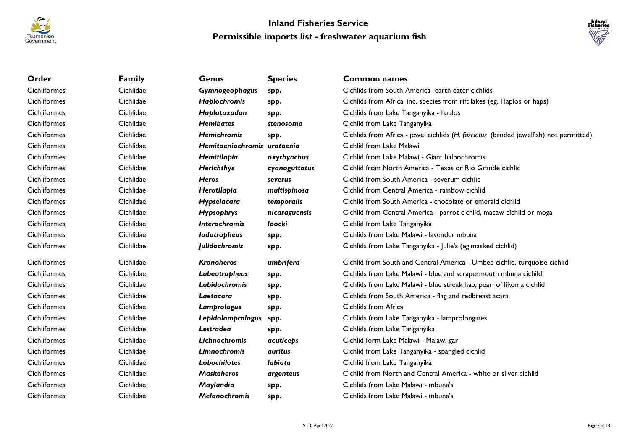



| Order        | <b>Family</b> | <b>Genus</b>                | <b>Species</b>        | <b>Common names</b>                                                                   |
|--------------|---------------|-----------------------------|-----------------------|---------------------------------------------------------------------------------------|
| Cichliformes | Cichlidae     | Gymnogeophagus              | spp.                  | Cichlids from South America- earth eater cichlids                                     |
| Cichliformes | Cichlidae     | Haplochromis                | spp.                  | Cichlids from Africa, inc. species from rift lakes (eg. Haplos or haps)               |
| Cichliformes | Cichlidae     | Haplotaxodon                | spp.                  | Cichlids from Lake Tanganyika - haplos                                                |
| Cichliformes | Cichlidae     | <b>Hemibates</b>            | stenosoma             | Cichlid from Lake Tanganyika                                                          |
| Cichliformes | Cichlidae     | <b>Hemichromis</b>          | spp.                  | Cichlids from Africa - jewel cichlids (H. fasciatus (banded jewelfish) not permitted) |
| Cichliformes | Cichlidae     | Hemitaeniochromis urotaenia |                       | Cichlid from Lake Malawi                                                              |
| Cichliformes | Cichlidae     | Hemitilapia                 | oxyrhynchus           | Cichlid from Lake Malawi - Giant halpochromis                                         |
| Cichliformes | Cichlidae     | Herichthys                  | cyanoguttatus         | Cichlid from North America - Texas or Rio Grande cichlid                              |
| Cichliformes | Cichlidae     | <b>Heros</b>                | severus               | Cichlid from South America - severum cichlid                                          |
| Cichliformes | Cichlidae     | Herotilapia                 | multispinosa          | Cichlid from Central America - rainbow cichlid                                        |
| Cichliformes | Cichlidae     | Hypselacara                 | temporalis            | Cichlid from South America - chocolate or emerald cichlid                             |
| Cichliformes | Cichlidae     | Hypsophrys                  | nicaraguensis         | Cichlid from Central America - parrot cichlid, macaw cichlid or moga                  |
| Cichliformes | Cichlidae     | Interochromis               | loocki                | Cichlid from Lake Tanganyika                                                          |
| Cichliformes | Cichlidae     | lodotropheus                | spp.                  | Cichlids from Lake Malawi - lavender mbuna                                            |
| Cichliformes | Cichlidae     | Julidochromis               | spp.                  | Cichlids from Lake Tanganyika - Julie's (eg.masked cichlid)                           |
| Cichliformes | Cichlidae     | <b>Kronoheros</b>           | umbrifera             | Cichlid from South and Central America - Umbee cichlid, turquoise cichlid             |
| Cichliformes | Cichlidae     | Labeotropheus               | spp.                  | Cichlids from Lake Malawi - blue and scrapermouth mbuna cichild                       |
| Cichliformes | Cichlidae     | Labidochromis               | spp.                  | Cichlids from Lake Malawi - blue streak hap, pearl of likoma cichlid                  |
| Cichliformes | Cichlidae     | Laetacara                   | spp.                  | Cichlids from South America - flag and redbreast acara                                |
| Cichliformes | Cichlidae     | Lamprologus                 | spp.                  | Cichlids from Africa                                                                  |
| Cichliformes | Cichlidae     | Lepidolamprologus           | spp.                  | Cichlids from Lake Tanganyika - lamprolongines                                        |
| Cichliformes | Cichlidae     | <b>Lestradea</b>            | spp.                  | Cichlids from Lake Tanganyika                                                         |
| Cichliformes | Cichlidae     | Lichnochromis               | acuticeps             | Cichlid form Lake Malawi - Malawi gar                                                 |
| Cichliformes | Cichlidae     | Limnochromis                | <i><b>auritus</b></i> | Cichlid from Lake Tanganyika - spangled cichlid                                       |
| Cichliformes | Cichlidae     | Lobochilotes                | labiata               | Cichlid from Lake Tanganyika                                                          |
| Cichliformes | Cichlidae     | <b>Maskaheros</b>           | argenteus             | Cichlid from North and Central America - white or silver cichlid                      |
| Cichliformes | Cichlidae     | Maylandia                   | spp.                  | Cichlids from Lake Malawi - mbuna's                                                   |
| Cichliformes | Cichlidae     | <b>Melanochromis</b>        | spp.                  | Cichlids from Lake Malawi - mbuna's                                                   |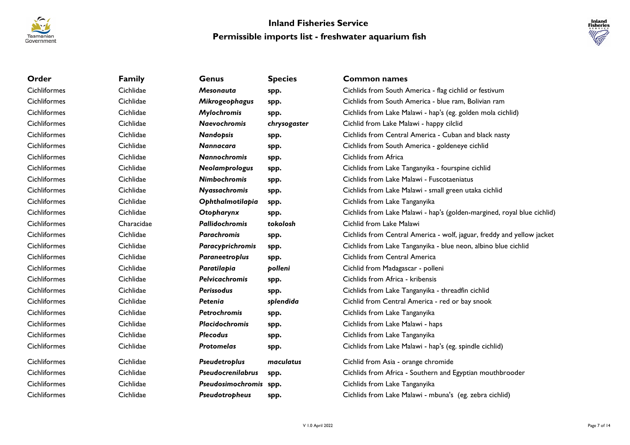



| Order               | <b>Family</b> | Genus                    | <b>Species</b> | <b>Common names</b>                                                     |
|---------------------|---------------|--------------------------|----------------|-------------------------------------------------------------------------|
| Cichliformes        | Cichlidae     | <b>Mesonauta</b>         | spp.           | Cichlids from South America - flag cichlid or festivum                  |
| <b>Cichliformes</b> | Cichlidae     | Mikrogeophagus           | spp.           | Cichlids from South America - blue ram, Bolivian ram                    |
| <b>Cichliformes</b> | Cichlidae     | Mylochromis              | spp.           | Cichlids from Lake Malawi - hap's (eg. golden mola cichlid)             |
| <b>Cichliformes</b> | Cichlidae     | <b>Naevochromis</b>      | chrysogaster   | Cichlid from Lake Malawi - happy cilclid                                |
| <b>Cichliformes</b> | Cichlidae     | <b>Nandopsis</b>         | spp.           | Cichlids from Central America - Cuban and black nasty                   |
| <b>Cichliformes</b> | Cichlidae     | <b>Nannacara</b>         | spp.           | Cichlids from South America - goldeneye cichlid                         |
| <b>Cichliformes</b> | Cichlidae     | <b>Nannochromis</b>      | spp.           | Cichlids from Africa                                                    |
| <b>Cichliformes</b> | Cichlidae     | Neolamprologus           | spp.           | Cichlids from Lake Tanganyika - fourspine cichlid                       |
| <b>Cichliformes</b> | Cichlidae     | <b>Nimbochromis</b>      | spp.           | Cichlids from Lake Malawi - Fuscotaeniatus                              |
| <b>Cichliformes</b> | Cichlidae     | Nyassachromis            | spp.           | Cichlids from Lake Malawi - small green utaka cichlid                   |
| <b>Cichliformes</b> | Cichlidae     | Ophthalmotilapia         | spp.           | Cichlids from Lake Tanganyika                                           |
| Cichliformes        | Cichlidae     | Otopharynx               | spp.           | Cichlids from Lake Malawi - hap's (golden-margined, royal blue cichlid) |
| <b>Cichliformes</b> | Characidae    | <b>Pallidochromis</b>    | tokolosh       | Cichlid from Lake Malawi                                                |
| <b>Cichliformes</b> | Cichlidae     | <b>Parachromis</b>       | spp.           | Cichlids from Central America - wolf, jaguar, freddy and yellow jacket  |
| <b>Cichliformes</b> | Cichlidae     | Paracyprichromis         | spp.           | Cichlids from Lake Tanganyika - blue neon, albino blue cichlid          |
| <b>Cichliformes</b> | Cichlidae     | Paraneetroplus           | spp.           | Cichlids from Central America                                           |
| <b>Cichliformes</b> | Cichlidae     | Paratilapia              | polleni        | Cichlid from Madagascar - polleni                                       |
| Cichliformes        | Cichlidae     | <b>Pelvicachromis</b>    | spp.           | Cichlids from Africa - kribensis                                        |
| <b>Cichliformes</b> | Cichlidae     | <b>Perissodus</b>        | spp.           | Cichlids from Lake Tanganyika - threadfin cichlid                       |
| <b>Cichliformes</b> | Cichlidae     | Petenia                  | splendida      | Cichlid from Central America - red or bay snook                         |
| <b>Cichliformes</b> | Cichlidae     | <b>Petrochromis</b>      | spp.           | Cichlids from Lake Tanganyika                                           |
| <b>Cichliformes</b> | Cichlidae     | <b>Placidochromis</b>    | spp.           | Cichlids from Lake Malawi - haps                                        |
| <b>Cichliformes</b> | Cichlidae     | <b>Plecodus</b>          | spp.           | Cichlids from Lake Tanganyika                                           |
| <b>Cichliformes</b> | Cichlidae     | <b>Protomelas</b>        | spp.           | Cichlids from Lake Malawi - hap's (eg. spindle cichlid)                 |
| Cichliformes        | Cichlidae     | Pseudetroplus            | maculatus      | Cichlid from Asia - orange chromide                                     |
| <b>Cichliformes</b> | Cichlidae     | <b>Pseudocrenilabrus</b> | spp.           | Cichlids from Africa - Southern and Egyptian mouthbrooder               |
| <b>Cichliformes</b> | Cichlidae     | Pseudosimochromis spp.   |                | Cichlids from Lake Tanganyika                                           |
| <b>Cichliformes</b> | Cichlidae     | Pseudotropheus           | spp.           | Cichlids from Lake Malawi - mbuna's (eg. zebra cichlid)                 |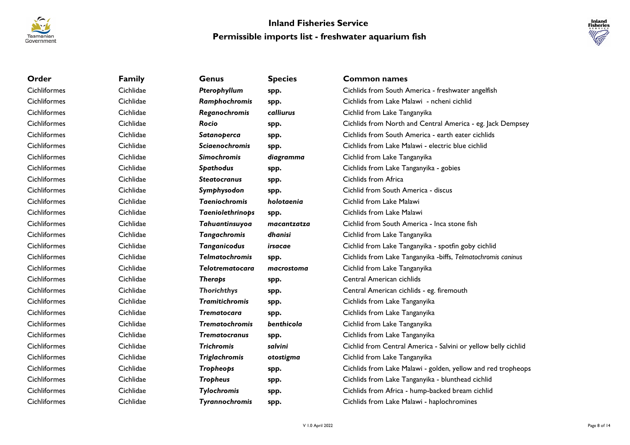



| Order               | <b>Family</b> | Genus                  | <b>Species</b> | <b>Common names</b>                                            |
|---------------------|---------------|------------------------|----------------|----------------------------------------------------------------|
| Cichliformes        | Cichlidae     | Pterophyllum           | spp.           | Cichlids from South America - freshwater angelfish             |
| Cichliformes        | Cichlidae     | Ramphochromis          | spp.           | Cichlids from Lake Malawi - ncheni cichlid                     |
| Cichliformes        | Cichlidae     | Reganochromis          | calliurus      | Cichlid from Lake Tanganyika                                   |
| Cichliformes        | Cichlidae     | Rocio                  | spp.           | Cichlids from North and Central America - eg. Jack Dempsey     |
| Cichliformes        | Cichlidae     | Satanoperca            | spp.           | Cichlids from South America - earth eater cichlids             |
| Cichliformes        | Cichlidae     | <b>Sciaenochromis</b>  | spp.           | Cichlids from Lake Malawi - electric blue cichlid              |
| Cichliformes        | Cichlidae     | <b>Simochromis</b>     | diagramma      | Cichlid from Lake Tanganyika                                   |
| <b>Cichliformes</b> | Cichlidae     | <b>Spathodus</b>       | spp.           | Cichlids from Lake Tanganyika - gobies                         |
| Cichliformes        | Cichlidae     | <b>Steatocranus</b>    | spp.           | Cichlids from Africa                                           |
| Cichliformes        | Cichlidae     | Symphysodon            | spp.           | Cichlid from South America - discus                            |
| Cichliformes        | Cichlidae     | <b>Taeniochromis</b>   | holotaenia     | Cichlid from Lake Malawi                                       |
| Cichliformes        | Cichlidae     | Taeniolethrinops       | spp.           | Cichlids from Lake Malawi                                      |
| <b>Cichliformes</b> | Cichlidae     | Tahuantinsuyoa         | macantzatza    | Cichlid from South America - Inca stone fish                   |
| Cichliformes        | Cichlidae     | <b>Tangachromis</b>    | dhanisi        | Cichlid from Lake Tanganyika                                   |
| Cichliformes        | Cichlidae     | Tanganicodus           | irsacae        | Cichlid from Lake Tanganyika - spotfin goby cichlid            |
| Cichliformes        | Cichlidae     | <b>Telmatochromis</b>  | spp.           | Cichlids from Lake Tanganyika - biffs, Telmatochromis caninus  |
| Cichliformes        | Cichlidae     | <b>Telotrematocara</b> | macrostoma     | Cichlid from Lake Tanganyika                                   |
| Cichliformes        | Cichlidae     | <b>Theraps</b>         | spp.           | Central American cichlids                                      |
| Cichliformes        | Cichlidae     | <b>Thorichthys</b>     | spp.           | Central American cichlids - eg. firemouth                      |
| Cichliformes        | Cichlidae     | <b>Tramitichromis</b>  | spp.           | Cichlids from Lake Tanganyika                                  |
| Cichliformes        | Cichlidae     | <b>Trematocara</b>     | spp.           | Cichlids from Lake Tanganyika                                  |
| Cichliformes        | Cichlidae     | <b>Trematochromis</b>  | benthicola     | Cichlid from Lake Tanganyika                                   |
| Cichliformes        | Cichlidae     | <b>Trematocranus</b>   | spp.           | Cichlids from Lake Tanganyika                                  |
| Cichliformes        | Cichlidae     | <b>Trichromis</b>      | salvini        | Cichlid from Central America - Salvini or yellow belly cichlid |
| Cichliformes        | Cichlidae     | <b>Triglachromis</b>   | otostigma      | Cichlid from Lake Tanganyika                                   |
| Cichliformes        | Cichlidae     | Tropheops              | spp.           | Cichlids from Lake Malawi - golden, yellow and red tropheops   |
| <b>Cichliformes</b> | Cichlidae     | <b>Tropheus</b>        | spp.           | Cichlids from Lake Tanganyika - blunthead cichlid              |
| Cichliformes        | Cichlidae     | <b>Tylochromis</b>     | spp.           | Cichlids from Africa - hump-backed bream cichlid               |
| Cichliformes        | Cichlidae     | Tyrannochromis         | spp.           | Cichlids from Lake Malawi - haplochromines                     |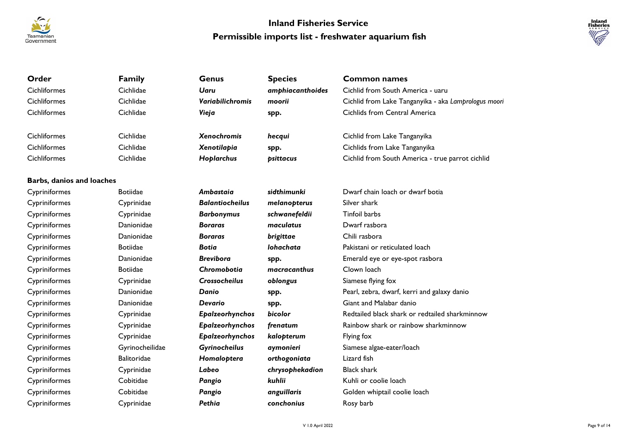



| Order                            | <b>Family</b>      | <b>Genus</b>            | <b>Species</b>   | <b>Common names</b>                                  |
|----------------------------------|--------------------|-------------------------|------------------|------------------------------------------------------|
| Cichliformes                     | Cichlidae          | <b>Uaru</b>             | amphiacanthoides | Cichlid from South America - uaru                    |
| <b>Cichliformes</b>              | Cichlidae          | <b>Variabilichromis</b> | moorii           | Cichlid from Lake Tanganyika - aka Lamprologus moori |
| Cichliformes                     | Cichlidae          | Vieja                   | spp.             | Cichlids from Central America                        |
|                                  |                    |                         |                  |                                                      |
| Cichliformes                     | Cichlidae          | <b>Xenochromis</b>      | hecqui           | Cichlid from Lake Tanganyika                         |
| <b>Cichliformes</b>              | Cichlidae          | Xenotilapia             | spp.             | Cichlids from Lake Tanganyika                        |
| <b>Cichliformes</b>              | Cichlidae          | Hoplarchus              | psittacus        | Cichlid from South America - true parrot cichlid     |
|                                  |                    |                         |                  |                                                      |
| <b>Barbs, danios and loaches</b> |                    |                         |                  |                                                      |
| Cypriniformes                    | <b>Botiidae</b>    | Ambastaia               | sidthimunki      | Dwarf chain loach or dwarf botia                     |
| Cypriniformes                    | Cyprinidae         | <b>Balantiocheilus</b>  | melanopterus     | Silver shark                                         |
| Cypriniformes                    | Cyprinidae         | <b>Barbonymus</b>       | schwanefeldii    | <b>Tinfoil barbs</b>                                 |
| Cypriniformes                    | Danionidae         | <b>Boraras</b>          | maculatus        | Dwarf rasbora                                        |
| Cypriniformes                    | Danionidae         | <b>Boraras</b>          | brigittae        | Chili rasbora                                        |
| Cypriniformes                    | <b>Botiidae</b>    | <b>Botia</b>            | lohachata        | Pakistani or reticulated loach                       |
| Cypriniformes                    | Danionidae         | <b>Brevibora</b>        | spp.             | Emerald eye or eye-spot rasbora                      |
| Cypriniformes                    | <b>Botiidae</b>    | Chromobotia             | macracanthus     | Clown loach                                          |
| Cypriniformes                    | Cyprinidae         | <b>Crossocheilus</b>    | oblongus         | Siamese flying fox                                   |
| Cypriniformes                    | Danionidae         | Danio                   | spp.             | Pearl, zebra, dwarf, kerri and galaxy danio          |
| Cypriniformes                    | Danionidae         | Devario                 | spp.             | Giant and Malabar danio                              |
| Cypriniformes                    | Cyprinidae         | Epalzeorhynchos         | bicolor          | Redtailed black shark or redtailed sharkminnow       |
| Cypriniformes                    | Cyprinidae         | Epalzeorhynchos         | frenatum         | Rainbow shark or rainbow sharkminnow                 |
| Cypriniformes                    | Cyprinidae         | Epalzeorhynchos         | kalopterum       | Flying fox                                           |
| Cypriniformes                    | Gyrinocheilidae    | Gyrinocheilus           | aymonieri        | Siamese algae-eater/loach                            |
| Cypriniformes                    | <b>Balitoridae</b> | Homaloptera             | orthogoniata     | Lizard fish                                          |
| Cypriniformes                    | Cyprinidae         | Labeo                   | chrysophekadion  | <b>Black shark</b>                                   |
| Cypriniformes                    | Cobitidae          | Pangio                  | kuhlii           | Kuhli or coolie loach                                |
| Cypriniformes                    | Cobitidae          | Pangio                  | anguillaris      | Golden whiptail coolie loach                         |
| Cypriniformes                    | Cyprinidae         | Pethia                  | conchonius       | Rosy barb                                            |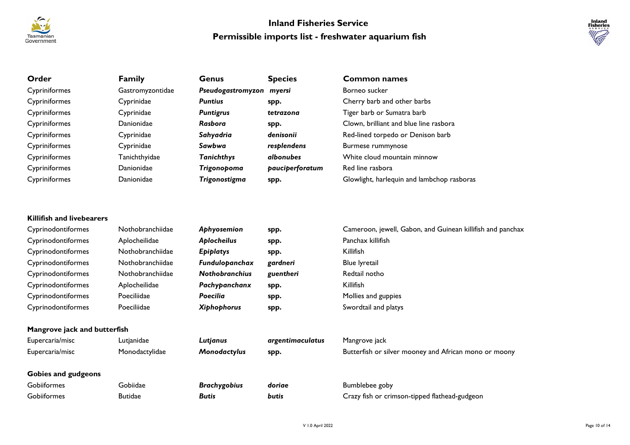



| Order                            | <b>Family</b>    | <b>Genus</b>             | <b>Species</b>   | <b>Common names</b>                                                             |
|----------------------------------|------------------|--------------------------|------------------|---------------------------------------------------------------------------------|
| Cypriniformes                    | Gastromyzontidae | Pseudogastromyzon myersi |                  | Borneo sucker                                                                   |
| Cypriniformes                    | Cyprinidae       | <b>Puntius</b>           | spp.             | Cherry barb and other barbs                                                     |
| Cypriniformes                    | Cyprinidae       | <b>Puntigrus</b>         | tetrazona        | Tiger barb or Sumatra barb                                                      |
| Cypriniformes                    | Danionidae       | <b>Rasbora</b>           | spp.             | Clown, brilliant and blue line rasbora                                          |
| Cypriniformes                    | Cyprinidae       | Sahyadria                | denisonii        | Red-lined torpedo or Denison barb                                               |
| Cypriniformes                    | Cyprinidae       | Sawbwa                   | resplendens      | <b>Burmese rummynose</b>                                                        |
| Cypriniformes                    | Tanichthyidae    | <b>Tanichthys</b>        | albonubes        | White cloud mountain minnow                                                     |
| Cypriniformes                    | Danionidae       | Trigonopoma              | pauciperforatum  | Red line rasbora                                                                |
| Cypriniformes                    | Danionidae       | Trigonostigma            | spp.             | Glowlight, harlequin and lambchop rasboras                                      |
| <b>Killifish and livebearers</b> |                  |                          |                  |                                                                                 |
|                                  |                  |                          |                  |                                                                                 |
| Cyprinodontiformes               | Nothobranchiidae | Aphyosemion              | spp.             | Cameroon, jewell, Gabon, and Guinean killifish and panchax<br>Panchax killifish |
| Cyprinodontiformes               | Aplocheilidae    | Aplocheilus              | spp.             |                                                                                 |
| Cyprinodontiformes               | Nothobranchiidae | <b>Epiplatys</b>         | spp.             | Killifish                                                                       |
| Cyprinodontiformes               | Nothobranchiidae | Fundulopanchax           | gardneri         | <b>Blue lyretail</b>                                                            |
| Cyprinodontiformes               | Nothobranchiidae | <b>Nothobranchius</b>    | guentheri        | Redtail notho                                                                   |
| Cyprinodontiformes               | Aplocheilidae    | Pachypanchanx            | spp.             | Killifish                                                                       |
| Cyprinodontiformes               | Poeciliidae      | <b>Poecilia</b>          | spp.             | Mollies and guppies                                                             |
| Cyprinodontiformes               | Poeciliidae      | <b>Xiphophorus</b>       | spp.             | Swordtail and platys                                                            |
| Mangrove jack and butterfish     |                  |                          |                  |                                                                                 |
| Eupercaria/misc                  | Lutjanidae       | Lutjanus                 | argentimaculatus | Mangrove jack                                                                   |
| Eupercaria/misc                  | Monodactylidae   | Monodactylus             | spp.             | Butterfish or silver mooney and African mono or moony                           |
| <b>Gobies and gudgeons</b>       |                  |                          |                  |                                                                                 |
| Gobiiformes                      | Gobiidae         | <b>Brachygobius</b>      | doriae           | Bumblebee goby                                                                  |
| Gobiiformes                      | <b>Butidae</b>   | <b>Butis</b>             | butis            | Crazy fish or crimson-tipped flathead-gudgeon                                   |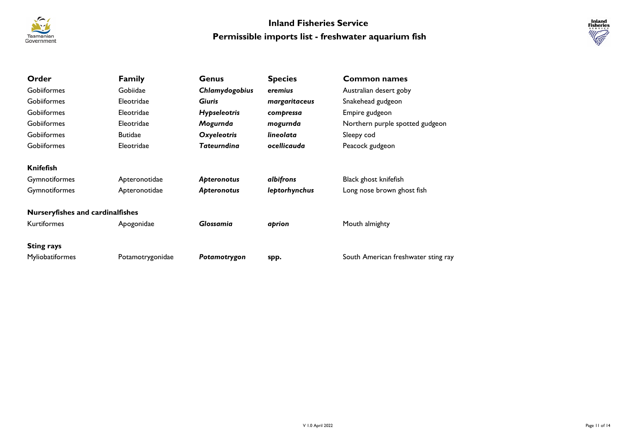



| Order                                   | <b>Family</b>    | <b>Genus</b>        | <b>Species</b> | <b>Common names</b>                 |
|-----------------------------------------|------------------|---------------------|----------------|-------------------------------------|
| Gobiiformes                             | Gobiidae         | Chlamydogobius      | eremius        | Australian desert goby              |
| Gobiiformes                             | Eleotridae       | <b>Giuris</b>       | margaritaceus  | Snakehead gudgeon                   |
| Gobiiformes                             | Eleotridae       | <b>Hypseleotris</b> | compressa      | Empire gudgeon                      |
| Gobiiformes                             | Eleotridae       | Mogurnda            | mogurnda       | Northern purple spotted gudgeon     |
| Gobiiformes                             | <b>Butidae</b>   | <b>Oxyeleotris</b>  | lineolata      | Sleepy cod                          |
| Gobiiformes                             | Eleotridae       | Tateurndina         | ocellicauda    | Peacock gudgeon                     |
| <b>Knifefish</b>                        |                  |                     |                |                                     |
| <b>Gymnotiformes</b>                    | Apteronotidae    | <b>Apteronotus</b>  | albifrons      | Black ghost knifefish               |
| Gymnotiformes                           | Apteronotidae    | <b>Apteronotus</b>  | leptorhynchus  | Long nose brown ghost fish          |
| <b>Nurseryfishes and cardinalfishes</b> |                  |                     |                |                                     |
| <b>Kurtiformes</b>                      | Apogonidae       | <b>Glossamia</b>    | aprion         | Mouth almighty                      |
| <b>Sting rays</b>                       |                  |                     |                |                                     |
| Myliobatiformes                         | Potamotrygonidae | Potamotrygon        | spp.           | South American freshwater sting ray |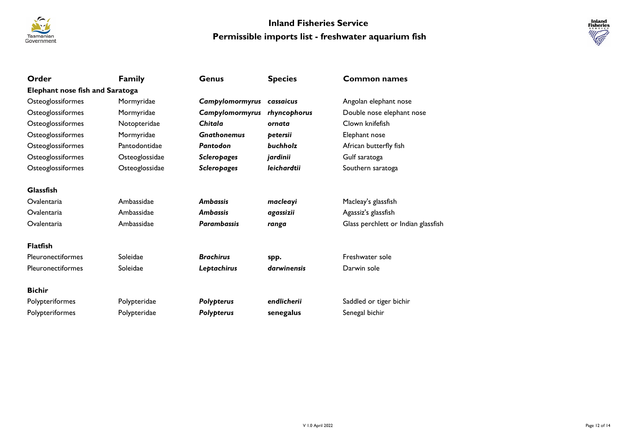



| Order                                  | <b>Family</b>  | Genus              | <b>Species</b> | <b>Common names</b>                 |
|----------------------------------------|----------------|--------------------|----------------|-------------------------------------|
| <b>Elephant nose fish and Saratoga</b> |                |                    |                |                                     |
| Osteoglossiformes                      | Mormyridae     | Campylomormyrus    | cassaicus      | Angolan elephant nose               |
| Osteoglossiformes                      | Mormyridae     | Campylomormyrus    | rhyncophorus   | Double nose elephant nose           |
| Osteoglossiformes                      | Notopteridae   | Chitala            | ornata         | Clown knifefish                     |
| Osteoglossiformes                      | Mormyridae     | <b>Gnathonemus</b> | petersii       | Elephant nose                       |
| Osteoglossiformes                      | Pantodontidae  | Pantodon           | buchholz       | African butterfly fish              |
| Osteoglossiformes                      | Osteoglossidae | <b>Scleropages</b> | jardinii       | Gulf saratoga                       |
| Osteoglossiformes                      | Osteoglossidae | <b>Scleropages</b> | leichardtii    | Southern saratoga                   |
| <b>Glassfish</b>                       |                |                    |                |                                     |
| Ovalentaria                            | Ambassidae     | <b>Ambassis</b>    | macleayi       | Macleay's glassfish                 |
| Ovalentaria                            | Ambassidae     | <b>Ambassis</b>    | agassizii      | Agassiz's glassfish                 |
| Ovalentaria                            | Ambassidae     | <b>Parambassis</b> | ranga          | Glass perchlett or Indian glassfish |
| <b>Flatfish</b>                        |                |                    |                |                                     |
| Pleuronectiformes                      | Soleidae       | <b>Brachirus</b>   | spp.           | Freshwater sole                     |
| <b>Pleuronectiformes</b>               | Soleidae       | Leptachirus        | darwinensis    | Darwin sole                         |
| <b>Bichir</b>                          |                |                    |                |                                     |
| Polypteriformes                        | Polypteridae   | Polypterus         | endlicherii    | Saddled or tiger bichir             |
| Polypteriformes                        | Polypteridae   | Polypterus         | senegalus      | Senegal bichir                      |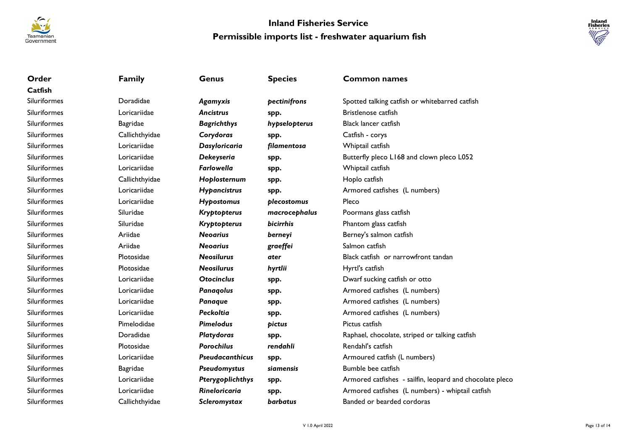



| Order               | <b>Family</b>   | <b>Genus</b>           | <b>Species</b>   | <b>Common names</b>                                      |
|---------------------|-----------------|------------------------|------------------|----------------------------------------------------------|
| Catfish             |                 |                        |                  |                                                          |
| Siluriformes        | Doradidae       | Agamyxis               | pectinifrons     | Spotted talking catfish or whitebarred catfish           |
| Siluriformes        | Loricariidae    | <b>Ancistrus</b>       | spp.             | Bristlenose catfish                                      |
| Siluriformes        | <b>Bagridae</b> | <b>Bagrichthys</b>     | hypselopterus    | Black lancer catfish                                     |
| Siluriformes        | Callichthyidae  | Corydoras              | spp.             | Catfish - corys                                          |
| Siluriformes        | Loricariidae    | Dasyloricaria          | filamentosa      | Whiptail catfish                                         |
| <b>Siluriformes</b> | Loricariidae    | Dekeyseria             | spp.             | Butterfly pleco L168 and clown pleco L052                |
| Siluriformes        | Loricariidae    | <b>Farlowella</b>      | spp.             | Whiptail catfish                                         |
| Siluriformes        | Callichthyidae  | Hoplosternum           | spp.             | Hoplo catfish                                            |
| Siluriformes        | Loricariidae    | <b>Hypancistrus</b>    | spp.             | Armored catfishes (L numbers)                            |
| Siluriformes        | Loricariidae    | <b>Hypostomus</b>      | plecostomus      | Pleco                                                    |
| Siluriformes        | Siluridae       | Kryptopterus           | macrocephalus    | Poormans glass catfish                                   |
| Siluriformes        | Siluridae       | Kryptopterus           | <b>bicirrhis</b> | Phantom glass catfish                                    |
| Siluriformes        | Ariidae         | <b>Neogrius</b>        | berneyi          | Berney's salmon catfish                                  |
| Siluriformes        | Ariidae         | <b>Neogrius</b>        | graeffei         | Salmon catfish                                           |
| Siluriformes        | Plotosidae      | <b>Neosilurus</b>      | ater             | Black catfish or narrowfront tandan                      |
| Siluriformes        | Plotosidae      | <b>Neosilurus</b>      | hyrtlii          | Hyrtl's catfish                                          |
| Siluriformes        | Loricariidae    | <b>Otocinclus</b>      | spp.             | Dwarf sucking catfish or otto                            |
| Siluriformes        | Loricariidae    | <b>Panagolus</b>       | spp.             | Armored catfishes (L numbers)                            |
| Siluriformes        | Loricariidae    | Panaque                | spp.             | Armored catfishes (L numbers)                            |
| Siluriformes        | Loricariidae    | Peckoltia              | spp.             | Armored catfishes (L numbers)                            |
| Siluriformes        | Pimelodidae     | <b>Pimelodus</b>       | pictus           | Pictus catfish                                           |
| Siluriformes        | Doradidae       | <b>Platydoras</b>      | spp.             | Raphael, chocolate, striped or talking catfish           |
| Siluriformes        | Plotosidae      | <b>Porochilus</b>      | rendahli         | Rendahl's catfish                                        |
| Siluriformes        | Loricariidae    | <b>Pseudacanthicus</b> | spp.             | Armoured catfish (L numbers)                             |
| Siluriformes        | <b>Bagridae</b> | Pseudomystus           | siamensis        | Bumble bee catfish                                       |
| <b>Siluriformes</b> | Loricariidae    | Pterygoplichthys       | spp.             | Armored catfishes - sailfin, leopard and chocolate pleco |
| Siluriformes        | Loricariidae    | <b>Rineloricaria</b>   | spp.             | Armored catfishes (L numbers) - whiptail catfish         |
| <b>Siluriformes</b> | Callichthyidae  | Scleromystax           | barbatus         | Banded or bearded cordoras                               |